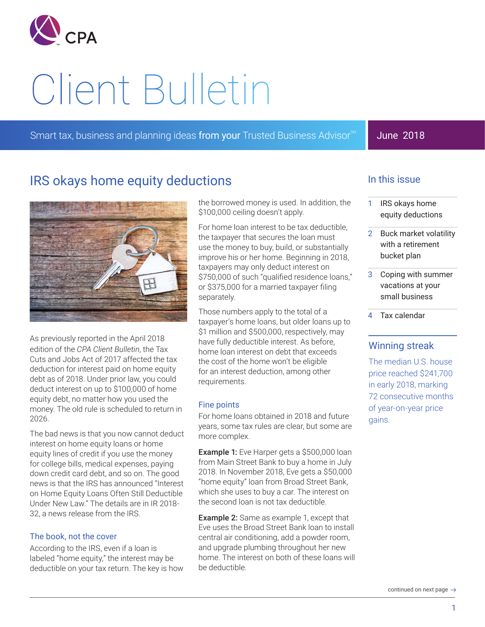

# Client Bulletin

Smart tax, business and planning ideas from your Trusted Business Advisor<sup>SM</sup>

## June 2018

# IRS okays home equity deductions



As previously reported in the April 2018 edition of the *CPA Client Bulletin*, the Tax Cuts and Jobs Act of 2017 affected the tax deduction for interest paid on home equity debt as of 2018. Under prior law, you could deduct interest on up to \$100,000 of home equity debt, no matter how you used the money. The old rule is scheduled to return in 2026.

The bad news is that you now cannot deduct interest on home equity loans or home equity lines of credit if you use the money for college bills, medical expenses, paying down credit card debt, and so on. The good news is that the IRS has announced "Interest on Home Equity Loans Often Still Deductible Under New Law." The details are in IR 2018- 32, a news release from the IRS.

#### The book, not the cover

According to the IRS, even if a loan is labeled "home equity," the interest may be deductible on your tax return. The key is how the borrowed money is used. In addition, the \$100,000 ceiling doesn't apply.

For home loan interest to be tax deductible, the taxpayer that secures the loan must use the money to buy, build, or substantially improve his or her home. Beginning in 2018, taxpayers may only deduct interest on \$750,000 of such "qualified residence loans," or \$375,000 for a married taxpayer filing separately.

Those numbers apply to the total of a taxpayer's home loans, but older loans up to \$1 million and \$500,000, respectively, may have fully deductible interest. As before, home loan interest on debt that exceeds the cost of the home won't be eligible for an interest deduction, among other requirements.

#### Fine points

For home loans obtained in 2018 and future years, some tax rules are clear, but some are more complex.

**Example 1:** Eve Harper gets a \$500,000 loan from Main Street Bank to buy a home in July 2018. In November 2018, Eve gets a \$50,000 "home equity" loan from Broad Street Bank, which she uses to buy a car. The interest on the second loan is not tax deductible.

**Example 2:** Same as example 1, except that Eve uses the Broad Street Bank loan to install central air conditioning, add a powder room, and upgrade plumbing throughout her new home. The interest on both of these loans will be deductible.

## In this issue

- 1 IRS okays home equity deductions
- 2 Buck market volatility with a retirement bucket plan
- 3 Coping with summer vacations at your small business
- 4 Tax calendar

### Winning streak

The median U.S. house price reached \$241,700 in early 2018, marking 72 consecutive months of year-on-year price gains.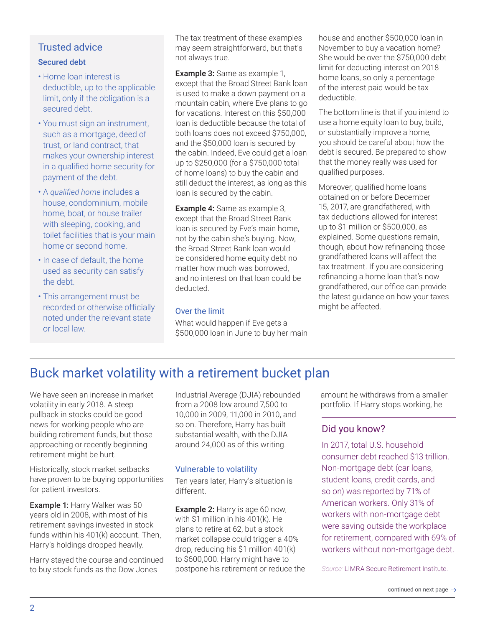#### Secured debt

- Home loan interest is deductible, up to the applicable limit, only if the obligation is a secured debt.
- You must sign an instrument, such as a mortgage, deed of trust, or land contract, that makes your ownership interest in a qualified home security for payment of the debt.
- A *qualified home* includes a house, condominium, mobile home, boat, or house trailer with sleeping, cooking, and toilet facilities that is your main home or second home.
- In case of default, the home used as security can satisfy the debt.
- This arrangement must be recorded or otherwise officially noted under the relevant state or local law.

The tax treatment of these examples may seem straightforward, but that's not always true.

Example 3: Same as example 1, except that the Broad Street Bank loan is used to make a down payment on a mountain cabin, where Eve plans to go for vacations. Interest on this \$50,000 loan is deductible because the total of both loans does not exceed \$750,000, and the \$50,000 loan is secured by the cabin. Indeed, Eve could get a loan up to \$250,000 (for a \$750,000 total of home loans) to buy the cabin and still deduct the interest, as long as this loan is secured by the cabin.

Example 4: Same as example 3, except that the Broad Street Bank loan is secured by Eve's main home, not by the cabin she's buying. Now, the Broad Street Bank loan would be considered home equity debt no matter how much was borrowed, and no interest on that loan could be deducted.

#### Over the limit

What would happen if Eve gets a \$500,000 loan in June to buy her main house and another \$500,000 loan in November to buy a vacation home? She would be over the \$750,000 debt limit for deducting interest on 2018 home loans, so only a percentage of the interest paid would be tax deductible.

The bottom line is that if you intend to use a home equity loan to buy, build, or substantially improve a home, you should be careful about how the debt is secured. Be prepared to show that the money really was used for qualified purposes.

Moreover, qualified home loans obtained on or before December 15, 2017, are grandfathered, with tax deductions allowed for interest up to \$1 million or \$500,000, as explained. Some questions remain, though, about how refinancing those grandfathered loans will affect the tax treatment. If you are considering refinancing a home loan that's now grandfathered, our office can provide the latest guidance on how your taxes might be affected.

# Buck market volatility with a retirement bucket plan

We have seen an increase in market volatility in early 2018. A steep pullback in stocks could be good news for working people who are building retirement funds, but those approaching or recently beginning retirement might be hurt.

Historically, stock market setbacks have proven to be buying opportunities for patient investors.

Example 1: Harry Walker was 50 years old in 2008, with most of his retirement savings invested in stock funds within his 401(k) account. Then, Harry's holdings dropped heavily.

Harry stayed the course and continued to buy stock funds as the Dow Jones

Industrial Average (DJIA) rebounded from a 2008 low around 7,500 to 10,000 in 2009, 11,000 in 2010, and so on. Therefore, Harry has built substantial wealth, with the DJIA around 24,000 as of this writing.

#### Vulnerable to volatility

Ten years later, Harry's situation is different.

Example 2: Harry is age 60 now, with \$1 million in his 401(k). He plans to retire at 62, but a stock market collapse could trigger a 40% drop, reducing his \$1 million 401(k) to \$600,000. Harry might have to postpone his retirement or reduce the amount he withdraws from a smaller portfolio. If Harry stops working, he

## Did you know?

In 2017, total U.S. household consumer debt reached \$13 trillion. Non-mortgage debt (car loans, student loans, credit cards, and so on) was reported by 71% of American workers. Only 31% of workers with non-mortgage debt were saving outside the workplace for retirement, compared with 69% of workers without non-mortgage debt.

*Source:* LIMRA Secure Retirement Institute.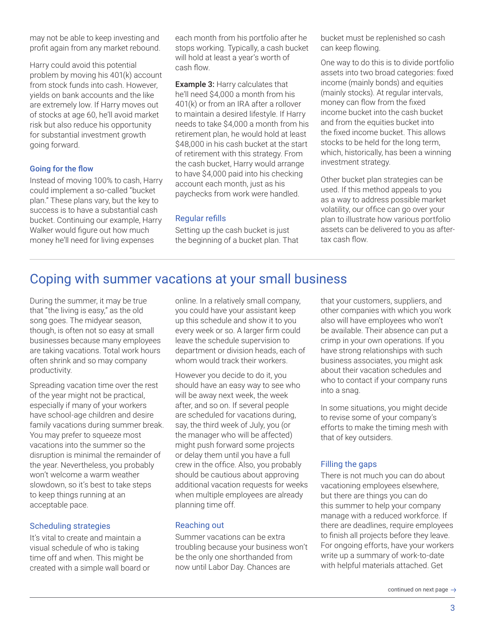may not be able to keep investing and profit again from any market rebound.

Harry could avoid this potential problem by moving his 401(k) account from stock funds into cash. However, yields on bank accounts and the like are extremely low. If Harry moves out of stocks at age 60, he'll avoid market risk but also reduce his opportunity for substantial investment growth going forward.

#### Going for the flow

Instead of moving 100% to cash, Harry could implement a so-called "bucket plan." These plans vary, but the key to success is to have a substantial cash bucket. Continuing our example, Harry Walker would figure out how much money he'll need for living expenses

each month from his portfolio after he stops working. Typically, a cash bucket will hold at least a year's worth of cash flow.

Example 3: Harry calculates that he'll need \$4,000 a month from his 401(k) or from an IRA after a rollover to maintain a desired lifestyle. If Harry needs to take \$4,000 a month from his retirement plan, he would hold at least \$48,000 in his cash bucket at the start of retirement with this strategy. From the cash bucket, Harry would arrange to have \$4,000 paid into his checking account each month, just as his paychecks from work were handled.

#### Regular refills

Setting up the cash bucket is just the beginning of a bucket plan. That

bucket must be replenished so cash can keep flowing.

One way to do this is to divide portfolio assets into two broad categories: fixed income (mainly bonds) and equities (mainly stocks). At regular intervals, money can flow from the fixed income bucket into the cash bucket and from the equities bucket into the fixed income bucket. This allows stocks to be held for the long term, which, historically, has been a winning investment strategy.

Other bucket plan strategies can be used. If this method appeals to you as a way to address possible market volatility, our office can go over your plan to illustrate how various portfolio assets can be delivered to you as aftertax cash flow.

## Coping with summer vacations at your small business

During the summer, it may be true that "the living is easy," as the old song goes. The midyear season, though, is often not so easy at small businesses because many employees are taking vacations. Total work hours often shrink and so may company productivity.

Spreading vacation time over the rest of the year might not be practical, especially if many of your workers have school-age children and desire family vacations during summer break. You may prefer to squeeze most vacations into the summer so the disruption is minimal the remainder of the year. Nevertheless, you probably won't welcome a warm weather slowdown, so it's best to take steps to keep things running at an acceptable pace.

#### Scheduling strategies

It's vital to create and maintain a visual schedule of who is taking time off and when. This might be created with a simple wall board or online. In a relatively small company, you could have your assistant keep up this schedule and show it to you every week or so. A larger firm could leave the schedule supervision to department or division heads, each of whom would track their workers.

However you decide to do it, you should have an easy way to see who will be away next week, the week after, and so on. If several people are scheduled for vacations during, say, the third week of July, you (or the manager who will be affected) might push forward some projects or delay them until you have a full crew in the office. Also, you probably should be cautious about approving additional vacation requests for weeks when multiple employees are already planning time off.

#### Reaching out

Summer vacations can be extra troubling because your business won't be the only one shorthanded from now until Labor Day. Chances are

that your customers, suppliers, and other companies with which you work also will have employees who won't be available. Their absence can put a crimp in your own operations. If you have strong relationships with such business associates, you might ask about their vacation schedules and who to contact if your company runs into a snag.

In some situations, you might decide to revise some of your company's efforts to make the timing mesh with that of key outsiders.

#### Filling the gaps

There is not much you can do about vacationing employees elsewhere, but there are things you can do this summer to help your company manage with a reduced workforce. If there are deadlines, require employees to finish all projects before they leave. For ongoing efforts, have your workers write up a summary of work-to-date with helpful materials attached. Get